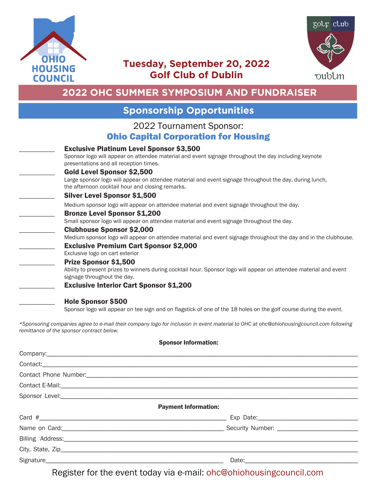



## **Tuesday, September 20, 2022 Golf Club of Dublin**

# **2022 OHC SUMMER SYMPOSIUM AND FUNDRAISER**

### **Sponsorship Opportunities**

#### 2022 Tournament Sponsor: Ohio Capital Corporation for Housing

| <b>Exclusive Platinum Level Sponsor \$3,500</b><br>Sponsor logo will appear on attendee material and event signage throughout the day including keynote<br>presentations and all reception times. |
|---------------------------------------------------------------------------------------------------------------------------------------------------------------------------------------------------|
| <b>Gold Level Sponsor \$2,500</b><br>Large sponsor logo will appear on attendee material and event signage throughout the day, during lunch,<br>the afternoon cocktail hour and closing remarks.  |
| <b>Silver Level Sponsor \$1,500</b>                                                                                                                                                               |
| Medium sponsor logo will appear on attendee material and event signage throughout the day.                                                                                                        |
| <b>Bronze Level Sponsor \$1,200</b><br>Small sponsor logo will appear on attendee material and event signage throughout the day.                                                                  |
| <b>Clubhouse Sponsor \$2,000</b><br>Medium sponsor logo will appear on attendee material and event signage throughout the day and in the clubhouse.                                               |
| <b>Exclusive Premium Cart Sponsor \$2,000</b><br>Exclusive logo on cart exterior                                                                                                                  |
| Prize Sponsor \$1,500                                                                                                                                                                             |
| Ability to present prizes to winners during cocktail hour. Sponsor logo will appear on attendee material and event<br>signage throughout the day.                                                 |
| <b>Exclusive Interior Cart Sponsor \$1,200</b>                                                                                                                                                    |
| <b>Hole Sponsor \$500</b>                                                                                                                                                                         |
|                                                                                                                                                                                                   |

Sponsor logo will appear on tee sign and on flagstick of one of the 18 holes on the golf course during the event.

*\*Sponsoring companies agree to e-mail their company logo for inclusion in event material to OHC at ohc@ohiohousingcouncil.com following remittance of the sponsor contract below.* 

#### Sponsor Information:

|                                                                                                                | <b>Payment Information:</b> |
|----------------------------------------------------------------------------------------------------------------|-----------------------------|
|                                                                                                                |                             |
|                                                                                                                |                             |
| Billing Address: Management of the Address of Address and Address of the Address of the Address of the Address |                             |
|                                                                                                                |                             |
|                                                                                                                |                             |

Register for the event today via e-mail: ohc@ohiohousingcouncil.com